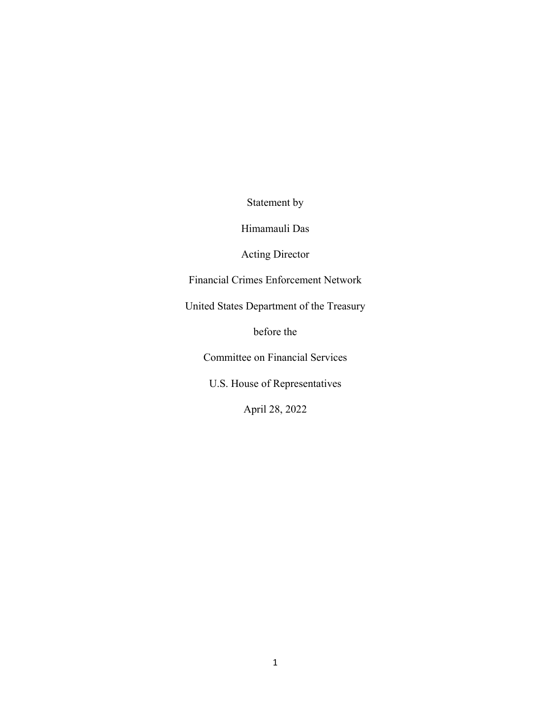Statement by

Himamauli Das

Acting Director

Financial Crimes Enforcement Network

United States Department of the Treasury

before the

Committee on Financial Services

U.S. House of Representatives

April 28, 2022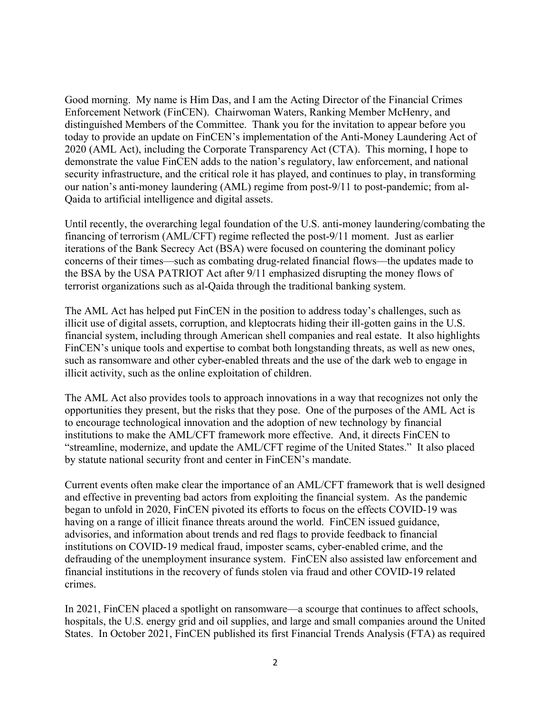Good morning. My name is Him Das, and I am the Acting Director of the Financial Crimes Enforcement Network (FinCEN). Chairwoman Waters, Ranking Member McHenry, and distinguished Members of the Committee. Thank you for the invitation to appear before you today to provide an update on FinCEN's implementation of the Anti-Money Laundering Act of 2020 (AML Act), including the Corporate Transparency Act (CTA). This morning, I hope to demonstrate the value FinCEN adds to the nation's regulatory, law enforcement, and national security infrastructure, and the critical role it has played, and continues to play, in transforming our nation's anti-money laundering (AML) regime from post-9/11 to post-pandemic; from al-Qaida to artificial intelligence and digital assets.

Until recently, the overarching legal foundation of the U.S. anti-money laundering/combating the financing of terrorism (AML/CFT) regime reflected the post-9/11 moment. Just as earlier iterations of the Bank Secrecy Act (BSA) were focused on countering the dominant policy concerns of their times—such as combating drug-related financial flows—the updates made to the BSA by the USA PATRIOT Act after 9/11 emphasized disrupting the money flows of terrorist organizations such as al-Qaida through the traditional banking system.

The AML Act has helped put FinCEN in the position to address today's challenges, such as illicit use of digital assets, corruption, and kleptocrats hiding their ill-gotten gains in the U.S. financial system, including through American shell companies and real estate. It also highlights FinCEN's unique tools and expertise to combat both longstanding threats, as well as new ones, such as ransomware and other cyber-enabled threats and the use of the dark web to engage in illicit activity, such as the online exploitation of children.

The AML Act also provides tools to approach innovations in a way that recognizes not only the opportunities they present, but the risks that they pose. One of the purposes of the AML Act is to encourage technological innovation and the adoption of new technology by financial institutions to make the AML/CFT framework more effective. And, it directs FinCEN to "streamline, modernize, and update the AML/CFT regime of the United States." It also placed by statute national security front and center in FinCEN's mandate.

Current events often make clear the importance of an AML/CFT framework that is well designed and effective in preventing bad actors from exploiting the financial system. As the pandemic began to unfold in 2020, FinCEN pivoted its efforts to focus on the effects COVID-19 was having on a range of illicit finance threats around the world. FinCEN issued guidance, advisories, and information about trends and red flags to provide feedback to financial institutions on COVID-19 medical fraud, imposter scams, cyber-enabled crime, and the defrauding of the unemployment insurance system. FinCEN also assisted law enforcement and financial institutions in the recovery of funds stolen via fraud and other COVID-19 related crimes.

In 2021, FinCEN placed a spotlight on ransomware—a scourge that continues to affect schools, hospitals, the U.S. energy grid and oil supplies, and large and small companies around the United States. In October 2021, FinCEN published its first Financial Trends Analysis (FTA) as required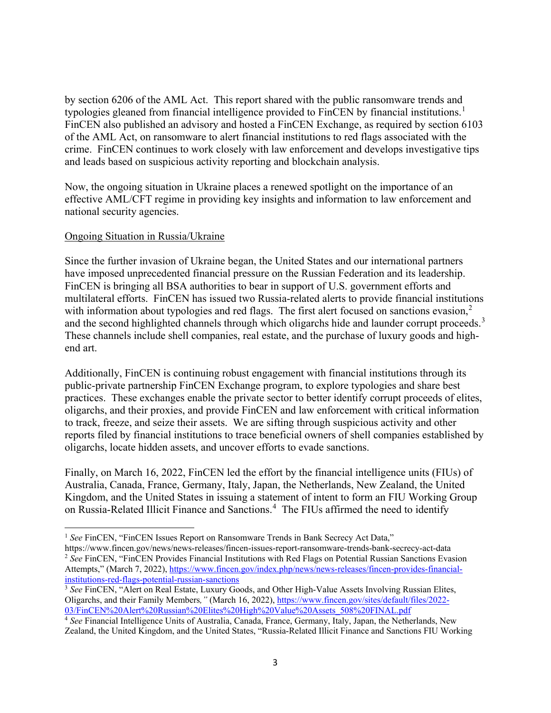by section 6206 of the AML Act. This report shared with the public ransomware trends and typologies gleaned from financial intelligence provided to FinCEN by financial institutions.<sup>[1](#page-2-0)</sup> FinCEN also published an advisory and hosted a FinCEN Exchange, as required by section 6103 of the AML Act, on ransomware to alert financial institutions to red flags associated with the crime. FinCEN continues to work closely with law enforcement and develops investigative tips and leads based on suspicious activity reporting and blockchain analysis.

Now, the ongoing situation in Ukraine places a renewed spotlight on the importance of an effective AML/CFT regime in providing key insights and information to law enforcement and national security agencies.

## Ongoing Situation in Russia/Ukraine

 $\overline{\phantom{a}}$ 

Since the further invasion of Ukraine began, the United States and our international partners have imposed unprecedented financial pressure on the Russian Federation and its leadership. FinCEN is bringing all BSA authorities to bear in support of U.S. government efforts and multilateral efforts. FinCEN has issued two Russia-related alerts to provide financial institutions with information about typologies and red flags. The first alert focused on sanctions evasion,<sup>[2](#page-2-1)</sup> and the second highlighted channels through which oligarchs hide and launder corrupt proceeds.<sup>[3](#page-2-2)</sup> These channels include shell companies, real estate, and the purchase of luxury goods and highend art.

Additionally, FinCEN is continuing robust engagement with financial institutions through its public-private partnership [FinCEN Exchange p](https://www.fincen.gov/resources/financial-crime-enforcement-network-exchange)rogram, to explore typologies and share best practices. These exchanges enable the private sector to better identify corrupt proceeds of elites, oligarchs, and their proxies, and provide FinCEN and law enforcement with critical information to track, freeze, and seize their assets. We are sifting through suspicious activity and other reports filed by financial institutions to trace beneficial owners of shell companies established by oligarchs, locate hidden assets, and uncover efforts to evade sanctions.

Finally, on March 16, 2022, FinCEN led the effort by the financial intelligence units (FIUs) of Australia, Canada, France, Germany, Italy, Japan, the Netherlands, New Zealand, the United Kingdom, and the United States in issuing a statement of intent to form an FIU Working Group on Russia-Related Illicit Finance and Sanctions.<sup>[4](#page-2-3)</sup> The FIUs affirmed the need to identify

<span id="page-2-0"></span><sup>&</sup>lt;sup>1</sup> See FinCEN, "FinCEN Issues Report on Ransomware Trends in Bank Secrecy Act Data,"

<span id="page-2-1"></span>https://www.fincen.gov/news/news-releases/fincen-issues-report-ransomware-trends-bank-secrecy-act-data <sup>2</sup> See FinCEN, "FinCEN Provides Financial Institutions with Red Flags on Potential Russian Sanctions Evasion Attempts," (March 7, 2022), [https://www.fincen.gov/index.php/news/news-releases/fincen-provides-financial](https://www.fincen.gov/index.php/news/news-releases/fincen-provides-financial-institutions-red-flags-potential-russian-sanctions)[institutions-red-flags-potential-russian-sanctions](https://www.fincen.gov/index.php/news/news-releases/fincen-provides-financial-institutions-red-flags-potential-russian-sanctions)

<span id="page-2-2"></span><sup>&</sup>lt;sup>3</sup> See FinCEN, "Alert on Real Estate, Luxury Goods, and Other High-Value Assets Involving Russian Elites, Oligarchs, and their Family Members*,"* (March 16, 2022), [https://www.fincen.gov/sites/default/files/2022-](https://www.fincen.gov/sites/default/files/2022-03/FinCEN%20Alert%20Russian%20Elites%20High%20Value%20Assets_508%20FINAL.pdf) [03/FinCEN%20Alert%20Russian%20Elites%20High%20Value%20Assets\\_508%20FINAL.pdf](https://www.fincen.gov/sites/default/files/2022-03/FinCEN%20Alert%20Russian%20Elites%20High%20Value%20Assets_508%20FINAL.pdf)

<span id="page-2-3"></span><sup>&</sup>lt;sup>4</sup> See Financial Intelligence Units of Australia, Canada, France, Germany, Italy, Japan, the Netherlands, New Zealand, the United Kingdom, and the United States, "Russia-Related Illicit Finance and Sanctions FIU Working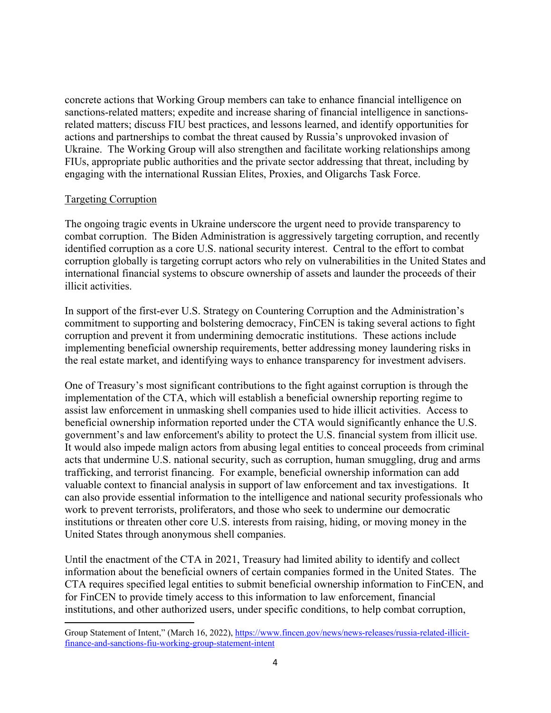concrete actions that Working Group members can take to enhance financial intelligence on sanctions-related matters; expedite and increase sharing of financial intelligence in sanctionsrelated matters; discuss FIU best practices, and lessons learned, and identify opportunities for actions and partnerships to combat the threat caused by Russia's unprovoked invasion of Ukraine. The Working Group will also strengthen and facilitate working relationships among FIUs, appropriate public authorities and the private sector addressing that threat, including by engaging with the international Russian Elites, Proxies, and Oligarchs Task Force.

## Targeting Corruption

 $\overline{\phantom{a}}$ 

The ongoing tragic events in Ukraine underscore the urgent need to provide transparency to combat corruption. The Biden Administration is aggressively targeting corruption, and recently identified corruption as a core U.S. national security interest. Central to the effort to combat corruption globally is targeting corrupt actors who rely on vulnerabilities in the United States and international financial systems to obscure ownership of assets and launder the proceeds of their illicit activities.

In support of the first-ever U.S. Strategy on Countering Corruption and the Administration's commitment to supporting and bolstering democracy, FinCEN is taking several actions to fight corruption and prevent it from undermining democratic institutions. These actions include implementing beneficial ownership requirements, better addressing money laundering risks in the real estate market, and identifying ways to enhance transparency for investment advisers.

One of Treasury's most significant contributions to the fight against corruption is through the implementation of the CTA, which will establish a beneficial ownership reporting regime to assist law enforcement in unmasking shell companies used to hide illicit activities. Access to beneficial ownership information reported under the CTA would significantly enhance the U.S. government's and law enforcement's ability to protect the U.S. financial system from illicit use. It would also impede malign actors from abusing legal entities to conceal proceeds from criminal acts that undermine U.S. national security, such as corruption, human smuggling, drug and arms trafficking, and terrorist financing. For example, beneficial ownership information can add valuable context to financial analysis in support of law enforcement and tax investigations. It can also provide essential information to the intelligence and national security professionals who work to prevent terrorists, proliferators, and those who seek to undermine our democratic institutions or threaten other core U.S. interests from raising, hiding, or moving money in the United States through anonymous shell companies.

Until the enactment of the CTA in 2021, Treasury had limited ability to identify and collect information about the beneficial owners of certain companies formed in the United States. The CTA requires specified legal entities to submit beneficial ownership information to FinCEN, and for FinCEN to provide timely access to this information to law enforcement, financial institutions, and other authorized users, under specific conditions, to help combat corruption,

Group Statement of Intent," (March 16, 2022), [https://www.fincen.gov/news/news-releases/russia-related-illicit](https://www.fincen.gov/news/news-releases/russia-related-illicit-finance-and-sanctions-fiu-working-group-statement-intent)[finance-and-sanctions-fiu-working-group-statement-intent](https://www.fincen.gov/news/news-releases/russia-related-illicit-finance-and-sanctions-fiu-working-group-statement-intent)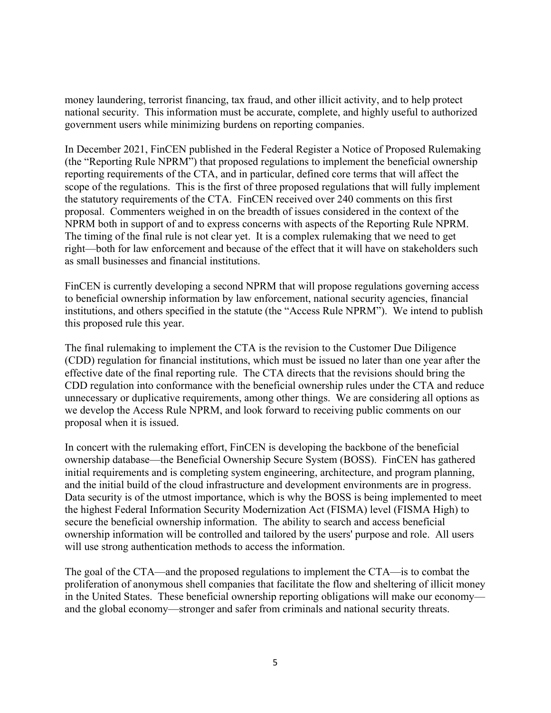money laundering, terrorist financing, tax fraud, and other illicit activity, and to help protect national security. This information must be accurate, complete, and highly useful to authorized government users while minimizing burdens on reporting companies.

In December 2021, FinCEN published in the Federal Register a Notice of Proposed Rulemaking (the "Reporting Rule NPRM") that proposed regulations to implement the beneficial ownership reporting requirements of the CTA, and in particular, defined core terms that will affect the scope of the regulations. This is the first of three proposed regulations that will fully implement the statutory requirements of the CTA. FinCEN received over 240 comments on this first proposal. Commenters weighed in on the breadth of issues considered in the context of the NPRM both in support of and to express concerns with aspects of the Reporting Rule NPRM. The timing of the final rule is not clear yet. It is a complex rulemaking that we need to get right—both for law enforcement and because of the effect that it will have on stakeholders such as small businesses and financial institutions.

FinCEN is currently developing a second NPRM that will propose regulations governing access to beneficial ownership information by law enforcement, national security agencies, financial institutions, and others specified in the statute (the "Access Rule NPRM"). We intend to publish this proposed rule this year.

The final rulemaking to implement the CTA is the revision to the Customer Due Diligence (CDD) regulation for financial institutions, which must be issued no later than one year after the effective date of the final reporting rule. The CTA directs that the revisions should bring the CDD regulation into conformance with the beneficial ownership rules under the CTA and reduce unnecessary or duplicative requirements, among other things. We are considering all options as we develop the Access Rule NPRM, and look forward to receiving public comments on our proposal when it is issued.

In concert with the rulemaking effort, FinCEN is developing the backbone of the beneficial ownership database—the Beneficial Ownership Secure System (BOSS). FinCEN has gathered initial requirements and is completing system engineering, architecture, and program planning, and the initial build of the cloud infrastructure and development environments are in progress. Data security is of the utmost importance, which is why the BOSS is being implemented to meet the highest Federal Information Security Modernization Act (FISMA) level (FISMA High) to secure the beneficial ownership information. The ability to search and access beneficial ownership information will be controlled and tailored by the users' purpose and role. All users will use strong authentication methods to access the information.

The goal of the CTA—and the proposed regulations to implement the CTA—is to combat the proliferation of anonymous shell companies that facilitate the flow and sheltering of illicit money in the United States. These beneficial ownership reporting obligations will make our economy and the global economy—stronger and safer from criminals and national security threats.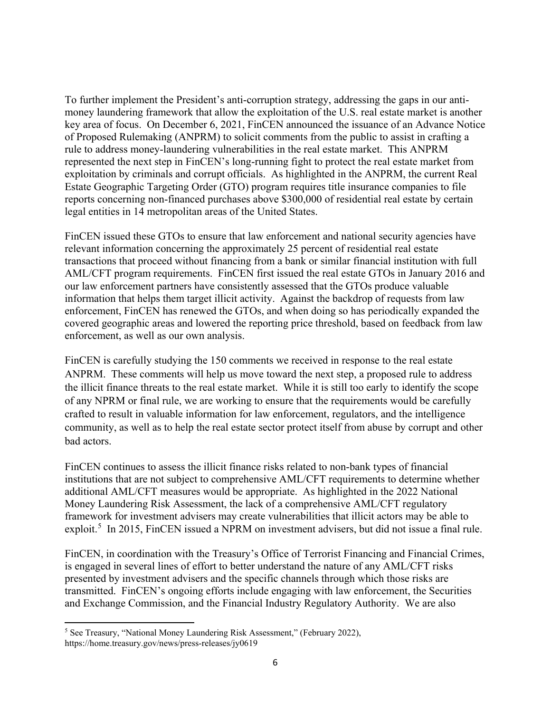To further implement the President's anti-corruption strategy, addressing the gaps in our antimoney laundering framework that allow the exploitation of the U.S. real estate market is another key area of focus. On December 6, 2021, FinCEN announced the issuance of an Advance Notice of Proposed Rulemaking (ANPRM) to solicit comments from the public to assist in crafting a rule to address money-laundering vulnerabilities in the real estate market. This ANPRM represented the next step in FinCEN's long-running fight to protect the real estate market from exploitation by criminals and corrupt officials. As highlighted in the ANPRM, the current Real Estate Geographic Targeting Order (GTO) program requires title insurance companies to file reports concerning non-financed purchases above \$300,000 of residential real estate by certain legal entities in 14 metropolitan areas of the United States.

FinCEN issued these GTOs to ensure that law enforcement and national security agencies have relevant information concerning the approximately 25 percent of residential real estate transactions that proceed without financing from a bank or similar financial institution with full AML/CFT program requirements. FinCEN first issued the real estate GTOs in January 2016 and our law enforcement partners have consistently assessed that the GTOs produce valuable information that helps them target illicit activity. Against the backdrop of requests from law enforcement, FinCEN has renewed the GTOs, and when doing so has periodically expanded the covered geographic areas and lowered the reporting price threshold, based on feedback from law enforcement, as well as our own analysis.

FinCEN is carefully studying the 150 comments we received in response to the real estate ANPRM. These comments will help us move toward the next step, a proposed rule to address the illicit finance threats to the real estate market. While it is still too early to identify the scope of any NPRM or final rule, we are working to ensure that the requirements would be carefully crafted to result in valuable information for law enforcement, regulators, and the intelligence community, as well as to help the real estate sector protect itself from abuse by corrupt and other bad actors.

FinCEN continues to assess the illicit finance risks related to non-bank types of financial institutions that are not subject to comprehensive AML/CFT requirements to determine whether additional AML/CFT measures would be appropriate. As highlighted in the 2022 National Money Laundering Risk Assessment, the lack of a comprehensive AML/CFT regulatory framework for investment advisers may create vulnerabilities that illicit actors may be able to exploit.<sup>[5](#page-5-0)</sup> In 2015, FinCEN issued a NPRM on investment advisers, but did not issue a final rule.

FinCEN, in coordination with the Treasury's Office of Terrorist Financing and Financial Crimes, is engaged in several lines of effort to better understand the nature of any AML/CFT risks presented by investment advisers and the specific channels through which those risks are transmitted. FinCEN's ongoing efforts include engaging with law enforcement, the Securities and Exchange Commission, and the Financial Industry Regulatory Authority. We are also

 $\overline{\phantom{a}}$ 

<span id="page-5-0"></span><sup>5</sup> See Treasury, "National Money Laundering Risk Assessment," (February 2022), https://home.treasury.gov/news/press-releases/jy0619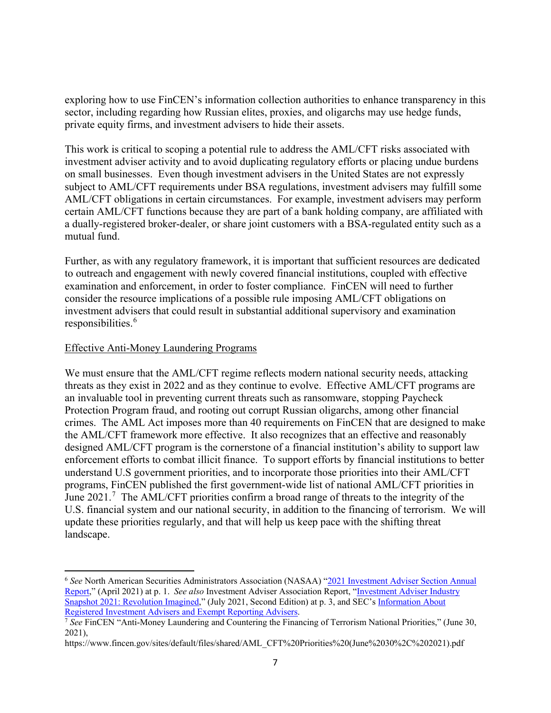exploring how to use FinCEN's information collection authorities to enhance transparency in this sector, including regarding how Russian elites, proxies, and oligarchs may use hedge funds, private equity firms, and investment advisers to hide their assets.

This work is critical to scoping a potential rule to address the AML/CFT risks associated with investment adviser activity and to avoid duplicating regulatory efforts or placing undue burdens on small businesses. Even though investment advisers in the United States are not expressly subject to AML/CFT requirements under BSA regulations, investment advisers may fulfill some AML/CFT obligations in certain circumstances. For example, investment advisers may perform certain AML/CFT functions because they are part of a bank holding company, are affiliated with a dually-registered broker-dealer, or share joint customers with a BSA-regulated entity such as a mutual fund.

Further, as with any regulatory framework, it is important that sufficient resources are dedicated to outreach and engagement with newly covered financial institutions, coupled with effective examination and enforcement, in order to foster compliance. FinCEN will need to further consider the resource implications of a possible rule imposing AML/CFT obligations on investment advisers that could result in substantial additional supervisory and examination responsibilities. [6](#page-6-0)

## Effective Anti-Money Laundering Programs

l

We must ensure that the AML/CFT regime reflects modern national security needs, attacking threats as they exist in 2022 and as they continue to evolve. Effective AML/CFT programs are an invaluable tool in preventing current threats such as ransomware, stopping Paycheck Protection Program fraud, and rooting out corrupt Russian oligarchs, among other financial crimes. The AML Act imposes more than 40 requirements on FinCEN that are designed to make the AML/CFT framework more effective. It also recognizes that an effective and reasonably designed AML/CFT program is the cornerstone of a financial institution's ability to support law enforcement efforts to combat illicit finance. To support efforts by financial institutions to better understand U.S government priorities, and to incorporate those priorities into their AML/CFT programs, FinCEN published the first government-wide list of national AML/CFT priorities in June  $2021$ .<sup>[7](#page-6-1)</sup> The AML/CFT priorities confirm a broad range of threats to the integrity of the U.S. financial system and our national security, in addition to the financing of terrorism. We will update these priorities regularly, and that will help us keep pace with the shifting threat landscape.

<span id="page-6-0"></span><sup>6</sup> *See* North American Securities Administrators Association (NASAA) ["2021 Investment Adviser Section Annual](https://www.nasaa.org/wp-content/uploads/2021/04/2021-IA-Section-Report-FINAL.pdf)  [Report,](https://www.nasaa.org/wp-content/uploads/2021/04/2021-IA-Section-Report-FINAL.pdf)" (April 2021) at p. 1. *See also* Investment Adviser Association Report, ["Investment Adviser Industry](https://higherlogicdownload.s3.amazonaws.com/INVESTMENTADVISER/aa03843e-7981-46b2-aa49-c572f2ddb7e8/UploadedImages/publications/industry-snapshots/Investment_Adviser_Industry_Snapshot_2021.pdf)  [Snapshot 2021: Revolution Imagined,](https://higherlogicdownload.s3.amazonaws.com/INVESTMENTADVISER/aa03843e-7981-46b2-aa49-c572f2ddb7e8/UploadedImages/publications/industry-snapshots/Investment_Adviser_Industry_Snapshot_2021.pdf)" (July 2021, Second Edition) at p. 3, and SEC's [Information About](https://www.sec.gov/help/foiadocsinvafoiahtm.html)  [Registered Investment Advisers and Exempt Reporting Advisers.](https://www.sec.gov/help/foiadocsinvafoiahtm.html)

<span id="page-6-1"></span><sup>7</sup> *See* FinCEN "Anti-Money Laundering and Countering the Financing of Terrorism National Priorities," (June 30, 2021),

https://www.fincen.gov/sites/default/files/shared/AML\_CFT%20Priorities%20(June%2030%2C%202021).pdf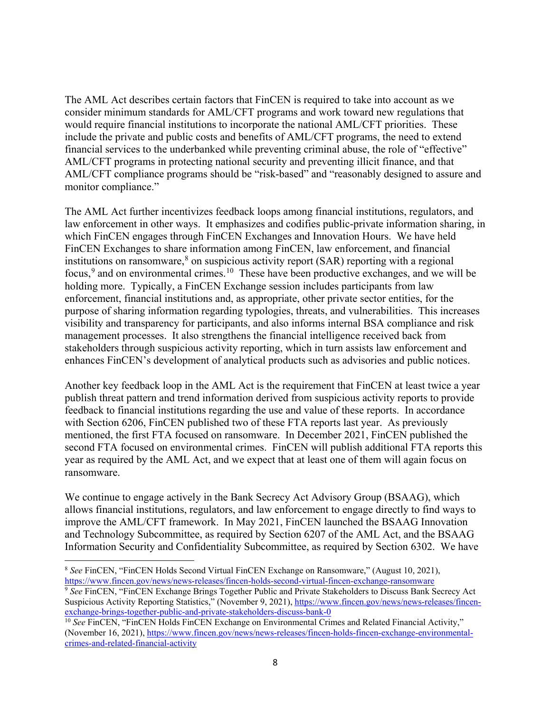The AML Act describes certain factors that FinCEN is required to take into account as we consider minimum standards for AML/CFT programs and work toward new regulations that would require financial institutions to incorporate the national AML/CFT priorities. These include the private and public costs and benefits of AML/CFT programs, the need to extend financial services to the underbanked while preventing criminal abuse, the role of "effective" AML/CFT programs in protecting national security and preventing illicit finance, and that AML/CFT compliance programs should be "risk-based" and "reasonably designed to assure and monitor compliance."

The AML Act further incentivizes feedback loops among financial institutions, regulators, and law enforcement in other ways. It emphasizes and codifies public-private information sharing, in which FinCEN engages through FinCEN Exchanges and Innovation Hours. We have held FinCEN Exchanges to share information among FinCEN, law enforcement, and financial institutions on ransomware, [8](#page-7-0) on suspicious activity report (SAR) reporting with a regional focus,<sup>[9](#page-7-1)</sup> and on environmental crimes.<sup>10</sup> These have been productive exchanges, and we will be holding more. Typically, a FinCEN Exchange session includes participants from law enforcement, financial institutions and, as appropriate, other private sector entities, for the purpose of sharing information regarding typologies, threats, and vulnerabilities. This increases visibility and transparency for participants, and also informs internal BSA compliance and risk management processes. It also strengthens the financial intelligence received back from stakeholders through suspicious activity reporting, which in turn assists law enforcement and enhances FinCEN's development of analytical products such as advisories and public notices.

Another key feedback loop in the AML Act is the requirement that FinCEN at least twice a year publish threat pattern and trend information derived from suspicious activity reports to provide feedback to financial institutions regarding the use and value of these reports. In accordance with Section 6206, FinCEN published two of these FTA reports last year. As previously mentioned, the first FTA focused on ransomware. In December 2021, FinCEN published the second FTA focused on environmental crimes. FinCEN will publish additional FTA reports this year as required by the AML Act, and we expect that at least one of them will again focus on ransomware.

We continue to engage actively in the Bank Secrecy Act Advisory Group (BSAAG), which allows financial institutions, regulators, and law enforcement to engage directly to find ways to improve the AML/CFT framework. In May 2021, FinCEN launched the BSAAG Innovation and Technology Subcommittee, as required by Section 6207 of the AML Act, and the BSAAG Information Security and Confidentiality Subcommittee, as required by Section 6302. We have

 $\overline{\phantom{a}}$ 

<span id="page-7-0"></span><sup>8</sup> *See* FinCEN, "FinCEN Holds Second Virtual FinCEN Exchange on Ransomware," (August 10, 2021), <https://www.fincen.gov/news/news-releases/fincen-holds-second-virtual-fincen-exchange-ransomware>

<span id="page-7-1"></span><sup>9</sup> *See* FinCEN, "FinCEN Exchange Brings Together Public and Private Stakeholders to Discuss Bank Secrecy Act Suspicious Activity Reporting Statistics," (November 9, 2021)[, https://www.fincen.gov/news/news-releases/fincen](https://www.fincen.gov/news/news-releases/fincen-exchange-brings-together-public-and-private-stakeholders-discuss-bank-0)[exchange-brings-together-public-and-private-stakeholders-discuss-bank-0](https://www.fincen.gov/news/news-releases/fincen-exchange-brings-together-public-and-private-stakeholders-discuss-bank-0)

<span id="page-7-2"></span><sup>&</sup>lt;sup>10</sup> See FinCEN, "FinCEN Holds FinCEN Exchange on Environmental Crimes and Related Financial Activity," (November 16, 2021), [https://www.fincen.gov/news/news-releases/fincen-holds-fincen-exchange-environmental](https://www.fincen.gov/news/news-releases/fincen-holds-fincen-exchange-environmental-crimes-and-related-financial-activity)[crimes-and-related-financial-activity](https://www.fincen.gov/news/news-releases/fincen-holds-fincen-exchange-environmental-crimes-and-related-financial-activity)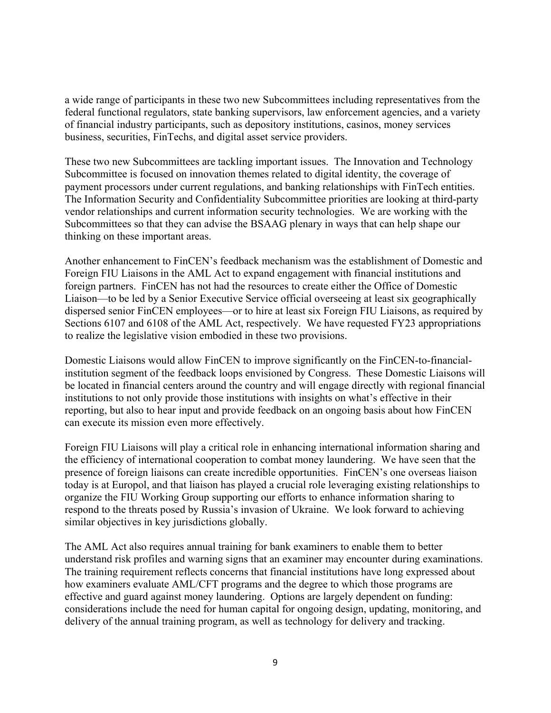a wide range of participants in these two new Subcommittees including representatives from the federal functional regulators, state banking supervisors, law enforcement agencies, and a variety of financial industry participants, such as depository institutions, casinos, money services business, securities, FinTechs, and digital asset service providers.

These two new Subcommittees are tackling important issues. The Innovation and Technology Subcommittee is focused on innovation themes related to digital identity, the coverage of payment processors under current regulations, and banking relationships with FinTech entities. The Information Security and Confidentiality Subcommittee priorities are looking at third-party vendor relationships and current information security technologies. We are working with the Subcommittees so that they can advise the BSAAG plenary in ways that can help shape our thinking on these important areas.

Another enhancement to FinCEN's feedback mechanism was the establishment of Domestic and Foreign FIU Liaisons in the AML Act to expand engagement with financial institutions and foreign partners. FinCEN has not had the resources to create either the Office of Domestic Liaison—to be led by a Senior Executive Service official overseeing at least six geographically dispersed senior FinCEN employees—or to hire at least six Foreign FIU Liaisons, as required by Sections 6107 and 6108 of the AML Act, respectively. We have requested FY23 appropriations to realize the legislative vision embodied in these two provisions.

Domestic Liaisons would allow FinCEN to improve significantly on the FinCEN-to-financialinstitution segment of the feedback loops envisioned by Congress. These Domestic Liaisons will be located in financial centers around the country and will engage directly with regional financial institutions to not only provide those institutions with insights on what's effective in their reporting, but also to hear input and provide feedback on an ongoing basis about how FinCEN can execute its mission even more effectively.

Foreign FIU Liaisons will play a critical role in enhancing international information sharing and the efficiency of international cooperation to combat money laundering. We have seen that the presence of foreign liaisons can create incredible opportunities. FinCEN's one overseas liaison today is at Europol, and that liaison has played a crucial role leveraging existing relationships to organize the FIU Working Group supporting our efforts to enhance information sharing to respond to the threats posed by Russia's invasion of Ukraine. We look forward to achieving similar objectives in key jurisdictions globally.

The AML Act also requires annual training for bank examiners to enable them to better understand risk profiles and warning signs that an examiner may encounter during examinations. The training requirement reflects concerns that financial institutions have long expressed about how examiners evaluate AML/CFT programs and the degree to which those programs are effective and guard against money laundering. Options are largely dependent on funding: considerations include the need for human capital for ongoing design, updating, monitoring, and delivery of the annual training program, as well as technology for delivery and tracking.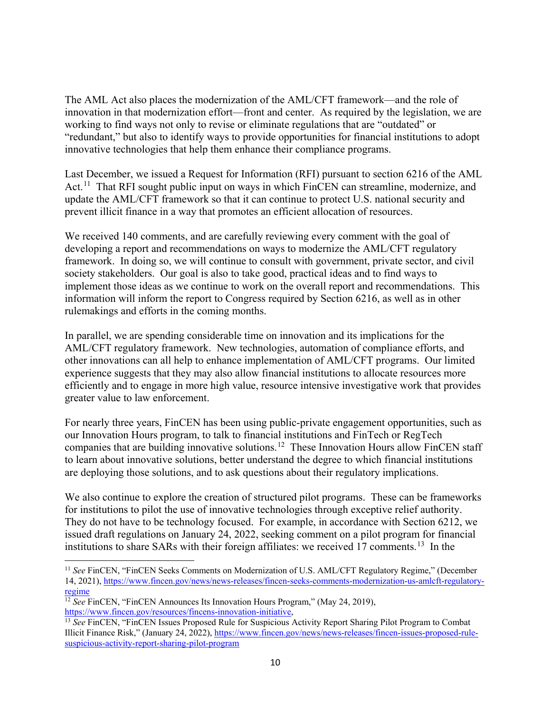The AML Act also places the modernization of the AML/CFT framework—and the role of innovation in that modernization effort—front and center. As required by the legislation, we are working to find ways not only to revise or eliminate regulations that are "outdated" or "redundant," but also to identify ways to provide opportunities for financial institutions to adopt innovative technologies that help them enhance their compliance programs.

Last December, we issued a Request for Information (RFI) pursuant to section 6216 of the AML Act.<sup>11</sup> That RFI sought public input on ways in which FinCEN can streamline, modernize, and update the AML/CFT framework so that it can continue to protect U.S. national security and prevent illicit finance in a way that promotes an efficient allocation of resources.

We received 140 comments, and are carefully reviewing every comment with the goal of developing a report and recommendations on ways to modernize the AML/CFT regulatory framework. In doing so, we will continue to consult with government, private sector, and civil society stakeholders. Our goal is also to take good, practical ideas and to find ways to implement those ideas as we continue to work on the overall report and recommendations. This information will inform the report to Congress required by Section 6216, as well as in other rulemakings and efforts in the coming months.

In parallel, we are spending considerable time on innovation and its implications for the AML/CFT regulatory framework. New technologies, automation of compliance efforts, and other innovations can all help to enhance implementation of AML/CFT programs. Our limited experience suggests that they may also allow financial institutions to allocate resources more efficiently and to engage in more high value, resource intensive investigative work that provides greater value to law enforcement.

For nearly three years, FinCEN has been using public-private engagement opportunities, such as our Innovation Hours program, to talk to financial institutions and FinTech or RegTech companies that are building innovative solutions.[12](#page-9-1) These Innovation Hours allow FinCEN staff to learn about innovative solutions, better understand the degree to which financial institutions are deploying those solutions, and to ask questions about their regulatory implications.

We also continue to explore the creation of structured pilot programs. These can be frameworks for institutions to pilot the use of innovative technologies through exceptive relief authority. They do not have to be technology focused. For example, in accordance with Section 6212, we issued draft regulations on January 24, 2022, seeking comment on a pilot program for financial institutions to share SARs with their foreign affiliates: we received 17 comments.<sup>13</sup> In the

 $\overline{\phantom{a}}$ 

<span id="page-9-0"></span><sup>11</sup> *See* FinCEN, "FinCEN Seeks Comments on Modernization of U.S. AML/CFT Regulatory Regime," (December 14, 2021), [https://www.fincen.gov/news/news-releases/fincen-seeks-comments-modernization-us-amlcft-regulatory](https://www.fincen.gov/news/news-releases/fincen-seeks-comments-modernization-us-amlcft-regulatory-regime)[regime](https://www.fincen.gov/news/news-releases/fincen-seeks-comments-modernization-us-amlcft-regulatory-regime)

<span id="page-9-1"></span><sup>&</sup>lt;sup>12</sup> *See* FinCEN, "FinCEN Announces Its Innovation Hours Program," (May 24, 2019), [https://www.fincen.gov/resources/fincens-innovation-initiative,](https://www.fincen.gov/resources/fincens-innovation-initiative)

<span id="page-9-2"></span><sup>13</sup> *See* FinCEN, "FinCEN Issues Proposed Rule for Suspicious Activity Report Sharing Pilot Program to Combat Illicit Finance Risk," (January 24, 2022), [https://www.fincen.gov/news/news-releases/fincen-issues-proposed-rule](https://www.fincen.gov/news/news-releases/fincen-issues-proposed-rule-suspicious-activity-report-sharing-pilot-program)[suspicious-activity-report-sharing-pilot-program](https://www.fincen.gov/news/news-releases/fincen-issues-proposed-rule-suspicious-activity-report-sharing-pilot-program)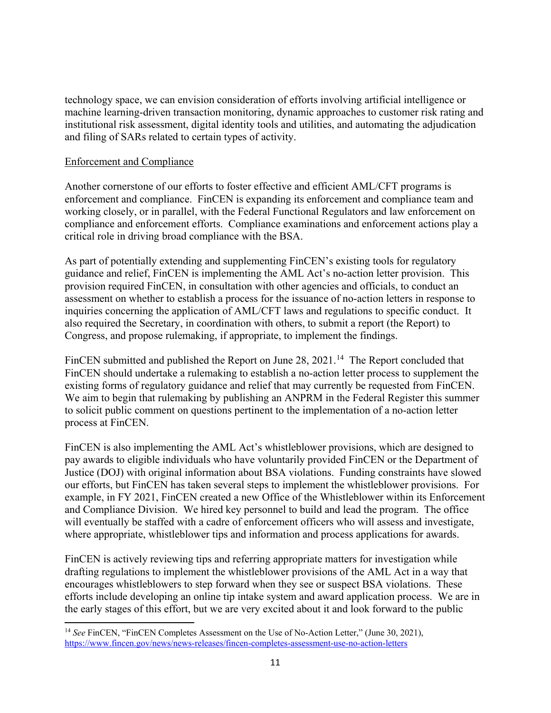technology space, we can envision consideration of efforts involving artificial intelligence or machine learning-driven transaction monitoring, dynamic approaches to customer risk rating and institutional risk assessment, digital identity tools and utilities, and automating the adjudication and filing of SARs related to certain types of activity.

# Enforcement and Compliance

 $\overline{\phantom{a}}$ 

Another cornerstone of our efforts to foster effective and efficient AML/CFT programs is enforcement and compliance. FinCEN is expanding its enforcement and compliance team and working closely, or in parallel, with the Federal Functional Regulators and law enforcement on compliance and enforcement efforts. Compliance examinations and enforcement actions play a critical role in driving broad compliance with the BSA.

As part of potentially extending and supplementing FinCEN's existing tools for regulatory guidance and relief, FinCEN is implementing the AML Act's no-action letter provision. This provision required FinCEN, in consultation with other agencies and officials, to conduct an assessment on whether to establish a process for the issuance of no-action letters in response to inquiries concerning the application of AML/CFT laws and regulations to specific conduct. It also required the Secretary, in coordination with others, to submit a report (the Report) to Congress, and propose rulemaking, if appropriate, to implement the findings.

FinCEN submitted and published the Report on June 28, 2021.<sup>[14](#page-10-0)</sup> The Report concluded that FinCEN should undertake a rulemaking to establish a no-action letter process to supplement the existing forms of regulatory guidance and relief that may currently be requested from FinCEN. We aim to begin that rulemaking by publishing an ANPRM in the Federal Register this summer to solicit public comment on questions pertinent to the implementation of a no-action letter process at FinCEN.

FinCEN is also implementing the AML Act's whistleblower provisions, which are designed to pay awards to eligible individuals who have voluntarily provided FinCEN or the Department of Justice (DOJ) with original information about BSA violations. Funding constraints have slowed our efforts, but FinCEN has taken several steps to implement the whistleblower provisions. For example, in FY 2021, FinCEN created a new Office of the Whistleblower within its Enforcement and Compliance Division. We hired key personnel to build and lead the program. The office will eventually be staffed with a cadre of enforcement officers who will assess and investigate, where appropriate, whistleblower tips and information and process applications for awards.

FinCEN is actively reviewing tips and referring appropriate matters for investigation while drafting regulations to implement the whistleblower provisions of the AML Act in a way that encourages whistleblowers to step forward when they see or suspect BSA violations. These efforts include developing an online tip intake system and award application process. We are in the early stages of this effort, but we are very excited about it and look forward to the public

<span id="page-10-0"></span><sup>14</sup> *See* FinCEN, "FinCEN Completes Assessment on the Use of No-Action Letter," (June 30, 2021), <https://www.fincen.gov/news/news-releases/fincen-completes-assessment-use-no-action-letters>